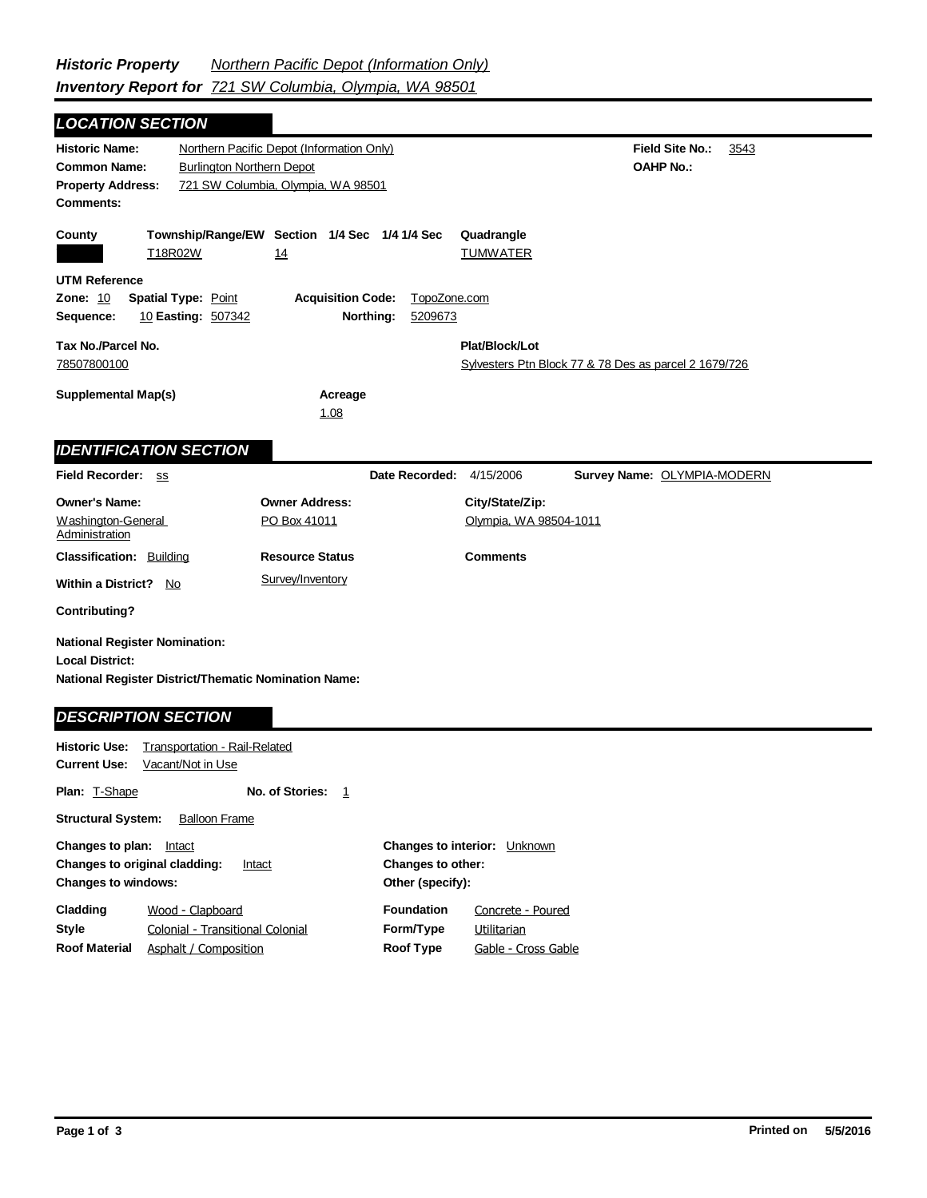| <b>LOCATION SECTION</b>                                                                                                       |                                                          |                                                                                 |                                      |                                           |                                                       |  |
|-------------------------------------------------------------------------------------------------------------------------------|----------------------------------------------------------|---------------------------------------------------------------------------------|--------------------------------------|-------------------------------------------|-------------------------------------------------------|--|
| <b>Historic Name:</b><br><b>Common Name:</b><br><b>Property Address:</b><br><b>Comments:</b>                                  | <b>Burlington Northern Depot</b>                         | Northern Pacific Depot (Information Only)<br>721 SW Columbia, Olympia, WA 98501 |                                      |                                           | <b>Field Site No.:</b><br>3543<br><b>OAHP No.:</b>    |  |
| County                                                                                                                        | Township/Range/EW Section 1/4 Sec 1/4 1/4 Sec<br>T18R02W | 14                                                                              |                                      | Quadrangle<br>TUMWATER                    |                                                       |  |
| <b>UTM Reference</b><br><b>Zone: 10</b><br>Sequence:                                                                          | <b>Spatial Type: Point</b><br>10 Easting: 507342         | <b>Acquisition Code:</b>                                                        | TopoZone.com<br>Northing:<br>5209673 |                                           |                                                       |  |
| Tax No./Parcel No.<br>78507800100                                                                                             |                                                          |                                                                                 |                                      | Plat/Block/Lot                            | Sylvesters Ptn Block 77 & 78 Des as parcel 2 1679/726 |  |
| Supplemental Map(s)                                                                                                           |                                                          | Acreage<br>1.08                                                                 |                                      |                                           |                                                       |  |
| <b>IDENTIFICATION SECTION</b>                                                                                                 |                                                          |                                                                                 |                                      |                                           |                                                       |  |
| Field Recorder: ss                                                                                                            |                                                          |                                                                                 | Date Recorded:                       | 4/15/2006                                 | Survey Name: OLYMPIA-MODERN                           |  |
| <b>Owner's Name:</b><br>Washington-General<br><b>Administration</b>                                                           |                                                          | <b>Owner Address:</b><br>PO Box 41011                                           |                                      | City/State/Zip:<br>Olympia, WA 98504-1011 |                                                       |  |
| <b>Classification: Building</b>                                                                                               |                                                          | <b>Resource Status</b>                                                          |                                      | <b>Comments</b>                           |                                                       |  |
| <b>Within a District?</b><br>No                                                                                               |                                                          | Survey/Inventory                                                                |                                      |                                           |                                                       |  |
| <b>Contributing?</b>                                                                                                          |                                                          |                                                                                 |                                      |                                           |                                                       |  |
| <b>National Register Nomination:</b><br><b>Local District:</b><br><b>National Register District/Thematic Nomination Name:</b> |                                                          |                                                                                 |                                      |                                           |                                                       |  |
| <b>DESCRIPTION SECTION</b>                                                                                                    |                                                          |                                                                                 |                                      |                                           |                                                       |  |
| <b>Historic Use:</b><br><b>Current Use:</b>                                                                                   | Transportation - Rail-Related<br>Vacant/Not in Use       |                                                                                 |                                      |                                           |                                                       |  |
| <b>Plan: T-Shape</b>                                                                                                          |                                                          | No. of Stories: 1                                                               |                                      |                                           |                                                       |  |
| <b>Structural System:</b>                                                                                                     | <b>Balloon Frame</b>                                     |                                                                                 |                                      |                                           |                                                       |  |
| Changes to plan: Intact                                                                                                       |                                                          |                                                                                 |                                      | Changes to interior: Unknown              |                                                       |  |

|                            | <b>Changes to original cladding:</b><br>Intact | <b>Changes to other:</b> |                     |  |
|----------------------------|------------------------------------------------|--------------------------|---------------------|--|
| <b>Changes to windows:</b> |                                                | Other (specify):         |                     |  |
| Cladding                   | Wood - Clapboard                               | <b>Foundation</b>        | Concrete - Poured   |  |
| <b>Style</b>               | Colonial - Transitional Colonial               | Form/Type                | Utilitarian         |  |
| <b>Roof Material</b>       | Asphalt / Composition                          | Roof Type                | Gable - Cross Gable |  |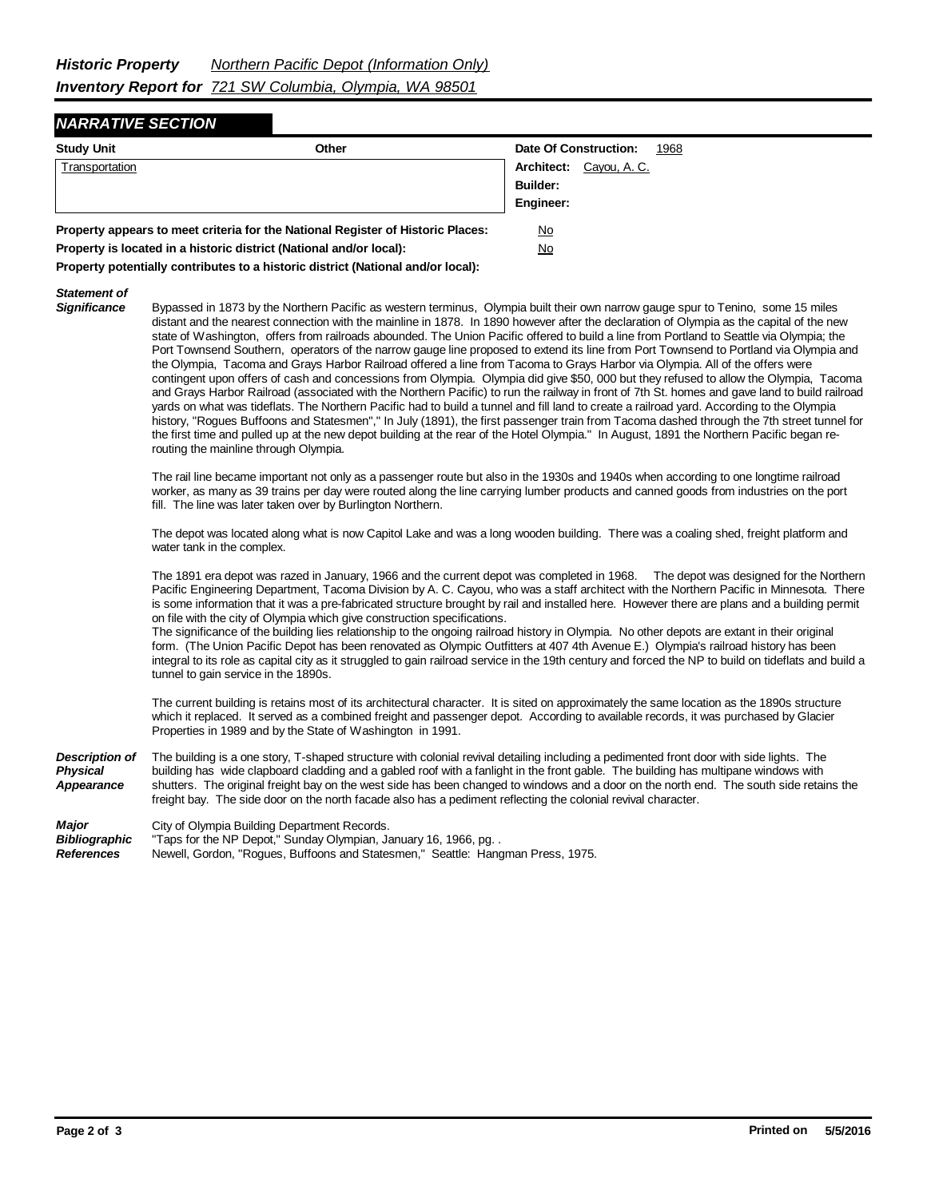## *NARRATIVE SECTION*

| <b>Study Unit</b>                                                               | Other | Date Of Construction:<br>1968 |
|---------------------------------------------------------------------------------|-------|-------------------------------|
| Transportation                                                                  |       | Architect:<br>Cayou, A. C.    |
|                                                                                 |       | <b>Builder:</b>               |
|                                                                                 |       | Engineer:                     |
| Property appears to meet criteria for the National Register of Historic Places: |       | No                            |
| Property is located in a historic district (National and/or local):             |       | No                            |

**Property potentially contributes to a historic district (National and/or local):**

## *Statement of*

*Significance* Bypassed in 1873 by the Northern Pacific as western terminus, Olympia built their own narrow gauge spur to Tenino, some 15 miles distant and the nearest connection with the mainline in 1878. In 1890 however after the declaration of Olympia as the capital of the new state of Washington, offers from railroads abounded. The Union Pacific offered to build a line from Portland to Seattle via Olympia; the Port Townsend Southern, operators of the narrow gauge line proposed to extend its line from Port Townsend to Portland via Olympia and the Olympia, Tacoma and Grays Harbor Railroad offered a line from Tacoma to Grays Harbor via Olympia. All of the offers were contingent upon offers of cash and concessions from Olympia. Olympia did give \$50, 000 but they refused to allow the Olympia, Tacoma and Grays Harbor Railroad (associated with the Northern Pacific) to run the railway in front of 7th St. homes and gave land to build railroad yards on what was tideflats. The Northern Pacific had to build a tunnel and fill land to create a railroad yard. According to the Olympia history, "Rogues Buffoons and Statesmen"," In July (1891), the first passenger train from Tacoma dashed through the 7th street tunnel for the first time and pulled up at the new depot building at the rear of the Hotel Olympia." In August, 1891 the Northern Pacific began rerouting the mainline through Olympia.

The rail line became important not only as a passenger route but also in the 1930s and 1940s when according to one longtime railroad worker, as many as 39 trains per day were routed along the line carrying lumber products and canned goods from industries on the port fill. The line was later taken over by Burlington Northern.

The depot was located along what is now Capitol Lake and was a long wooden building. There was a coaling shed, freight platform and water tank in the complex.

The 1891 era depot was razed in January, 1966 and the current depot was completed in 1968. The depot was designed for the Northern Pacific Engineering Department, Tacoma Division by A. C. Cayou, who was a staff architect with the Northern Pacific in Minnesota. There is some information that it was a pre-fabricated structure brought by rail and installed here. However there are plans and a building permit on file with the city of Olympia which give construction specifications.

The significance of the building lies relationship to the ongoing railroad history in Olympia. No other depots are extant in their original form. (The Union Pacific Depot has been renovated as Olympic Outfitters at 407 4th Avenue E.) Olympia's railroad history has been integral to its role as capital city as it struggled to gain railroad service in the 19th century and forced the NP to build on tideflats and build a tunnel to gain service in the 1890s.

The current building is retains most of its architectural character. It is sited on approximately the same location as the 1890s structure which it replaced. It served as a combined freight and passenger depot. According to available records, it was purchased by Glacier Properties in 1989 and by the State of Washington in 1991.

*Description of Physical Appearance* The building is a one story, T-shaped structure with colonial revival detailing including a pedimented front door with side lights. The building has wide clapboard cladding and a gabled roof with a fanlight in the front gable. The building has multipane windows with shutters. The original freight bay on the west side has been changed to windows and a door on the north end. The south side retains the freight bay. The side door on the north facade also has a pediment reflecting the colonial revival character.

| <b>Major</b>         | City of Olympia Building Department Records.                                    |
|----------------------|---------------------------------------------------------------------------------|
| <b>Bibliographic</b> | "Taps for the NP Depot," Sunday Olympian, January 16, 1966, pg. .               |
| <b>References</b>    | Newell, Gordon, "Rogues, Buffoons and Statesmen," Seattle: Hangman Press, 1975. |